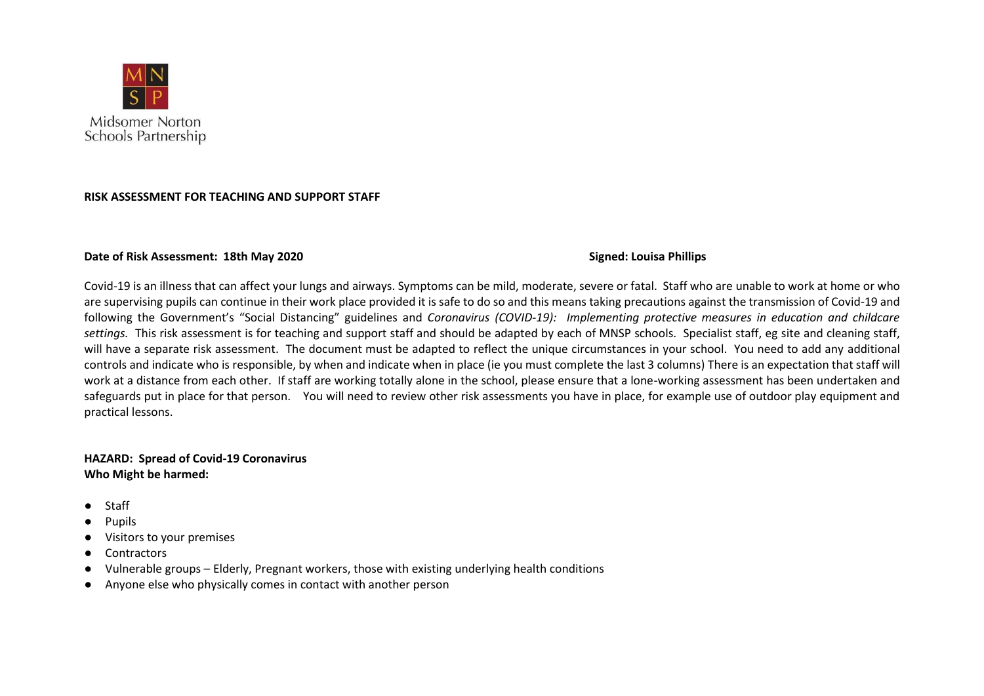

## **RISK ASSESSMENT FOR TEACHING AND SUPPORT STAFF**

## **Date of Risk Assessment: 18th May 2020 Signed: Louisa Phillips**

Covid-19 is an illness that can affect your lungs and airways. Symptoms can be mild, moderate, severe or fatal. Staff who are unable to work at home or who are supervising pupils can continue in their work place provided it is safe to do so and this means taking precautions against the transmission of Covid-19 and following the Government's "Social Distancing" guidelines and *Coronavirus (COVID-19): Implementing protective measures in education and childcare settings.* This risk assessment is for teaching and support staff and should be adapted by each of MNSP schools. Specialist staff, eg site and cleaning staff, will have a separate risk assessment. The document must be adapted to reflect the unique circumstances in your school. You need to add any additional controls and indicate who is responsible, by when and indicate when in place (ie you must complete the last 3 columns) There is an expectation that staff will work at a distance from each other. If staff are working totally alone in the school, please ensure that a lone-working assessment has been undertaken and safeguards put in place for that person. You will need to review other risk assessments you have in place, for example use of outdoor play equipment and practical lessons.

## **HAZARD: Spread of Covid-19 Coronavirus Who Might be harmed:**

- Staff
- **Pupils**
- Visitors to your premises
- Contractors
- Vulnerable groups Elderly, Pregnant workers, those with existing underlying health conditions
- Anyone else who physically comes in contact with another person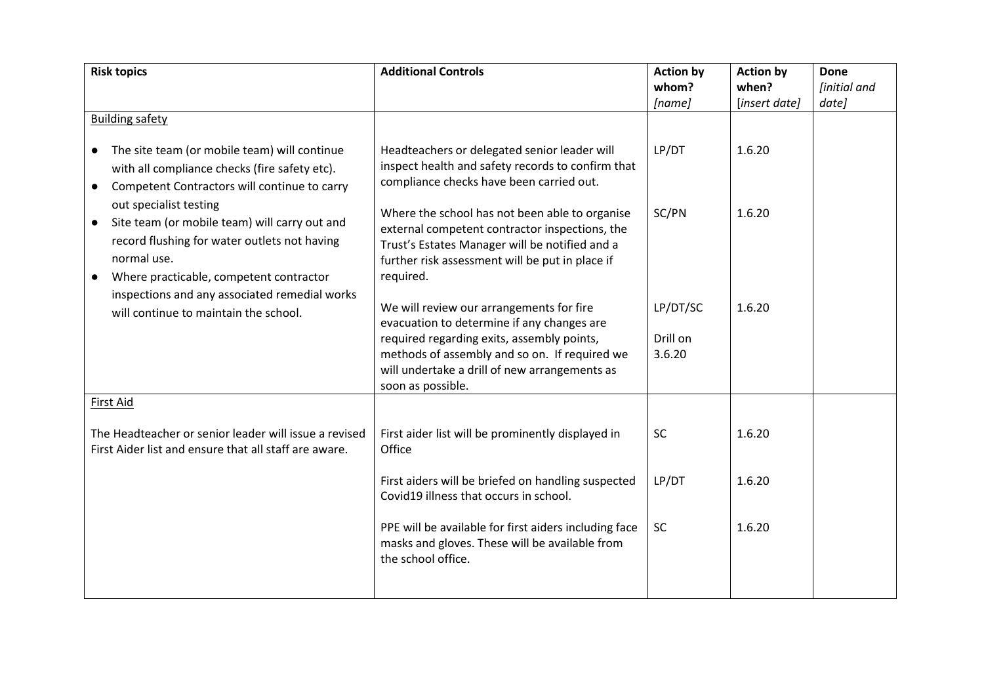| <b>Risk topics</b>                                                                                                                                                                                                                              | <b>Additional Controls</b>                                                                                                                                                                                                                                  | <b>Action by</b>               | <b>Action by</b> | <b>Done</b>                |
|-------------------------------------------------------------------------------------------------------------------------------------------------------------------------------------------------------------------------------------------------|-------------------------------------------------------------------------------------------------------------------------------------------------------------------------------------------------------------------------------------------------------------|--------------------------------|------------------|----------------------------|
|                                                                                                                                                                                                                                                 |                                                                                                                                                                                                                                                             | whom?                          | when?            | <i><b>[initial and</b></i> |
|                                                                                                                                                                                                                                                 |                                                                                                                                                                                                                                                             | [name]                         | [insert date]    | date]                      |
| <b>Building safety</b>                                                                                                                                                                                                                          |                                                                                                                                                                                                                                                             |                                |                  |                            |
| The site team (or mobile team) will continue<br>$\bullet$<br>with all compliance checks (fire safety etc).<br>Competent Contractors will continue to carry<br>$\bullet$                                                                         | Headteachers or delegated senior leader will<br>inspect health and safety records to confirm that<br>compliance checks have been carried out.                                                                                                               | LP/DT                          | 1.6.20           |                            |
| out specialist testing<br>Site team (or mobile team) will carry out and<br>$\bullet$<br>record flushing for water outlets not having<br>normal use.<br>Where practicable, competent contractor<br>inspections and any associated remedial works | Where the school has not been able to organise<br>external competent contractor inspections, the<br>Trust's Estates Manager will be notified and a<br>further risk assessment will be put in place if<br>required.                                          | SC/PN                          | 1.6.20           |                            |
| will continue to maintain the school.                                                                                                                                                                                                           | We will review our arrangements for fire<br>evacuation to determine if any changes are<br>required regarding exits, assembly points,<br>methods of assembly and so on. If required we<br>will undertake a drill of new arrangements as<br>soon as possible. | LP/DT/SC<br>Drill on<br>3.6.20 | 1.6.20           |                            |
| <b>First Aid</b>                                                                                                                                                                                                                                |                                                                                                                                                                                                                                                             |                                |                  |                            |
| The Headteacher or senior leader will issue a revised<br>First Aider list and ensure that all staff are aware.                                                                                                                                  | First aider list will be prominently displayed in<br>Office                                                                                                                                                                                                 | <b>SC</b>                      | 1.6.20           |                            |
|                                                                                                                                                                                                                                                 | First aiders will be briefed on handling suspected<br>Covid19 illness that occurs in school.                                                                                                                                                                | LP/DT                          | 1.6.20           |                            |
|                                                                                                                                                                                                                                                 | PPE will be available for first aiders including face<br>masks and gloves. These will be available from<br>the school office.                                                                                                                               | SC                             | 1.6.20           |                            |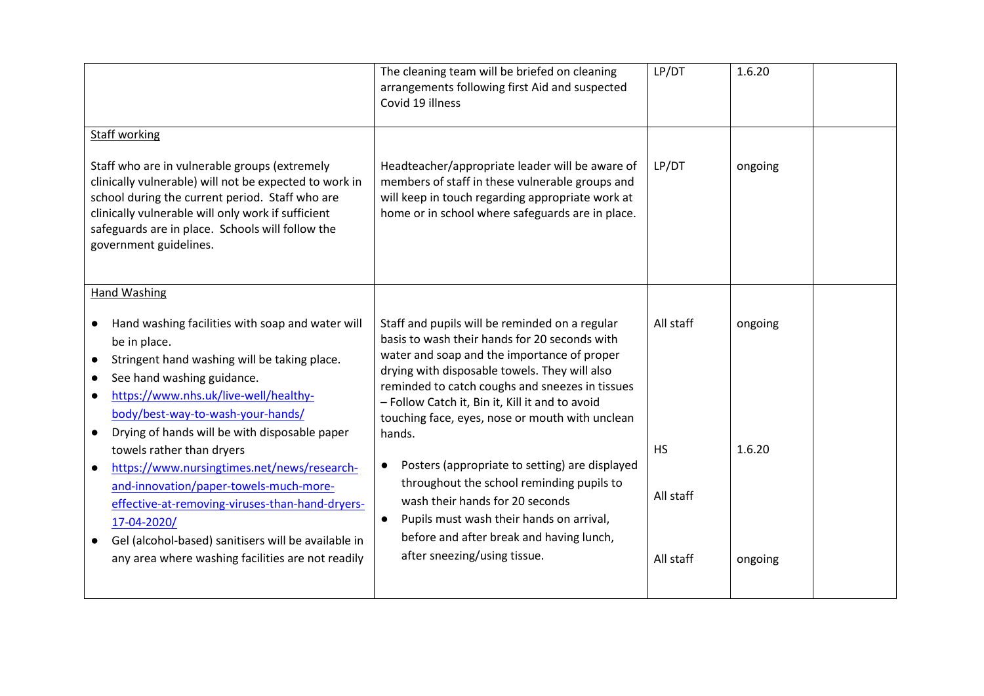|                                                                                                                                                                                                                                                                                                                                                                                                                                                                                                                                                               | The cleaning team will be briefed on cleaning<br>arrangements following first Aid and suspected<br>Covid 19 illness                                                                                                                                                                                                                                                                                                                                                                                                                                                        | LP/DT                               | 1.6.20            |
|---------------------------------------------------------------------------------------------------------------------------------------------------------------------------------------------------------------------------------------------------------------------------------------------------------------------------------------------------------------------------------------------------------------------------------------------------------------------------------------------------------------------------------------------------------------|----------------------------------------------------------------------------------------------------------------------------------------------------------------------------------------------------------------------------------------------------------------------------------------------------------------------------------------------------------------------------------------------------------------------------------------------------------------------------------------------------------------------------------------------------------------------------|-------------------------------------|-------------------|
| <b>Staff working</b><br>Staff who are in vulnerable groups (extremely<br>clinically vulnerable) will not be expected to work in<br>school during the current period. Staff who are<br>clinically vulnerable will only work if sufficient<br>safeguards are in place. Schools will follow the<br>government guidelines.                                                                                                                                                                                                                                        | Headteacher/appropriate leader will be aware of<br>members of staff in these vulnerable groups and<br>will keep in touch regarding appropriate work at<br>home or in school where safeguards are in place.                                                                                                                                                                                                                                                                                                                                                                 | LP/DT                               | ongoing           |
| <b>Hand Washing</b><br>Hand washing facilities with soap and water will<br>be in place.<br>Stringent hand washing will be taking place.<br>$\bullet$<br>See hand washing guidance.<br>$\bullet$<br>https://www.nhs.uk/live-well/healthy-<br>$\bullet$<br>body/best-way-to-wash-your-hands/<br>Drying of hands will be with disposable paper<br>$\bullet$<br>towels rather than dryers<br>https://www.nursingtimes.net/news/research-<br>$\bullet$<br>and-innovation/paper-towels-much-more-<br>effective-at-removing-viruses-than-hand-dryers-<br>17-04-2020/ | Staff and pupils will be reminded on a regular<br>basis to wash their hands for 20 seconds with<br>water and soap and the importance of proper<br>drying with disposable towels. They will also<br>reminded to catch coughs and sneezes in tissues<br>- Follow Catch it, Bin it, Kill it and to avoid<br>touching face, eyes, nose or mouth with unclean<br>hands.<br>Posters (appropriate to setting) are displayed<br>$\bullet$<br>throughout the school reminding pupils to<br>wash their hands for 20 seconds<br>Pupils must wash their hands on arrival,<br>$\bullet$ | All staff<br><b>HS</b><br>All staff | ongoing<br>1.6.20 |
| Gel (alcohol-based) sanitisers will be available in<br>$\bullet$<br>any area where washing facilities are not readily                                                                                                                                                                                                                                                                                                                                                                                                                                         | before and after break and having lunch,<br>after sneezing/using tissue.                                                                                                                                                                                                                                                                                                                                                                                                                                                                                                   | All staff                           | ongoing           |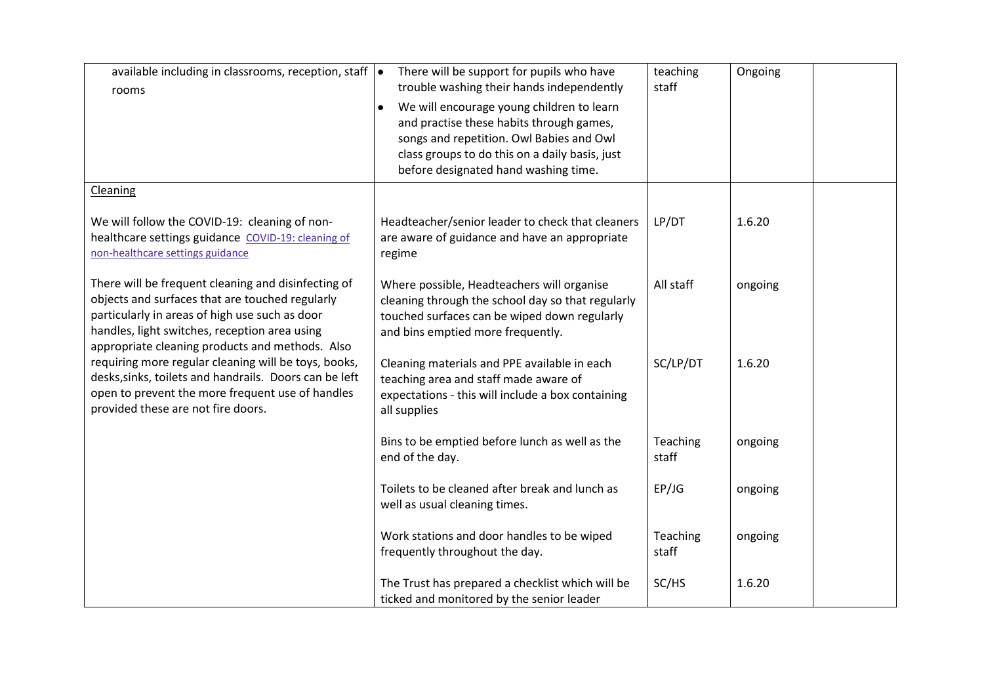| available including in classrooms, reception, staff $\vert \bullet \vert$<br>rooms                                                                                                                                                                           | There will be support for pupils who have<br>trouble washing their hands independently                                                                                                                                      | teaching<br>staff | Ongoing |
|--------------------------------------------------------------------------------------------------------------------------------------------------------------------------------------------------------------------------------------------------------------|-----------------------------------------------------------------------------------------------------------------------------------------------------------------------------------------------------------------------------|-------------------|---------|
|                                                                                                                                                                                                                                                              | We will encourage young children to learn<br>and practise these habits through games,<br>songs and repetition. Owl Babies and Owl<br>class groups to do this on a daily basis, just<br>before designated hand washing time. |                   |         |
| <b>Cleaning</b>                                                                                                                                                                                                                                              |                                                                                                                                                                                                                             |                   |         |
| We will follow the COVID-19: cleaning of non-<br>healthcare settings guidance COVID-19: cleaning of<br>non-healthcare settings guidance                                                                                                                      | Headteacher/senior leader to check that cleaners<br>are aware of guidance and have an appropriate<br>regime                                                                                                                 | LP/DT             | 1.6.20  |
| There will be frequent cleaning and disinfecting of<br>objects and surfaces that are touched regularly<br>particularly in areas of high use such as door<br>handles, light switches, reception area using<br>appropriate cleaning products and methods. Also | Where possible, Headteachers will organise<br>cleaning through the school day so that regularly<br>touched surfaces can be wiped down regularly<br>and bins emptied more frequently.                                        | All staff         | ongoing |
| requiring more regular cleaning will be toys, books,<br>desks, sinks, toilets and handrails. Doors can be left<br>open to prevent the more frequent use of handles<br>provided these are not fire doors.                                                     | Cleaning materials and PPE available in each<br>teaching area and staff made aware of<br>expectations - this will include a box containing<br>all supplies                                                                  | SC/LP/DT          | 1.6.20  |
|                                                                                                                                                                                                                                                              | Bins to be emptied before lunch as well as the<br>end of the day.                                                                                                                                                           | Teaching<br>staff | ongoing |
|                                                                                                                                                                                                                                                              | Toilets to be cleaned after break and lunch as<br>well as usual cleaning times.                                                                                                                                             | EP/JG             | ongoing |
|                                                                                                                                                                                                                                                              | Work stations and door handles to be wiped<br>frequently throughout the day.                                                                                                                                                | Teaching<br>staff | ongoing |
|                                                                                                                                                                                                                                                              | The Trust has prepared a checklist which will be<br>ticked and monitored by the senior leader                                                                                                                               | SC/HS             | 1.6.20  |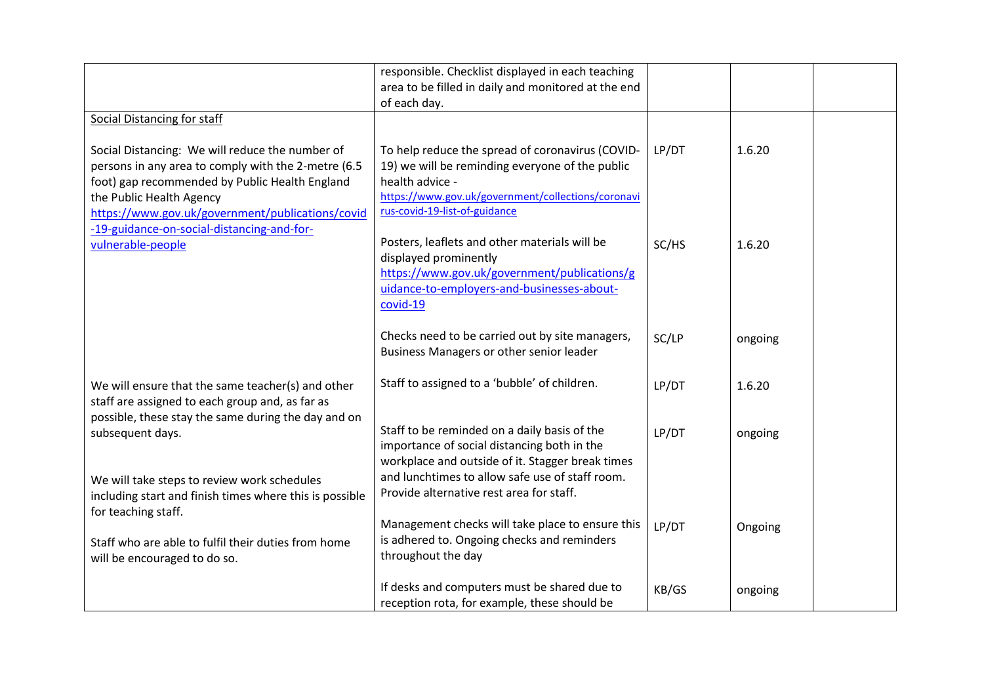|                                                                                                                                                                                                                                                                                        | responsible. Checklist displayed in each teaching<br>area to be filled in daily and monitored at the end<br>of each day.                                                                                      |       |         |
|----------------------------------------------------------------------------------------------------------------------------------------------------------------------------------------------------------------------------------------------------------------------------------------|---------------------------------------------------------------------------------------------------------------------------------------------------------------------------------------------------------------|-------|---------|
| Social Distancing for staff                                                                                                                                                                                                                                                            |                                                                                                                                                                                                               |       |         |
| Social Distancing: We will reduce the number of<br>persons in any area to comply with the 2-metre (6.5<br>foot) gap recommended by Public Health England<br>the Public Health Agency<br>https://www.gov.uk/government/publications/covid<br>-19-guidance-on-social-distancing-and-for- | To help reduce the spread of coronavirus (COVID-<br>19) we will be reminding everyone of the public<br>health advice -<br>https://www.gov.uk/government/collections/coronavi<br>rus-covid-19-list-of-guidance | LP/DT | 1.6.20  |
| vulnerable-people                                                                                                                                                                                                                                                                      | Posters, leaflets and other materials will be<br>displayed prominently<br>https://www.gov.uk/government/publications/g<br>uidance-to-employers-and-businesses-about-<br>covid-19                              | SC/HS | 1.6.20  |
|                                                                                                                                                                                                                                                                                        | Checks need to be carried out by site managers,<br>Business Managers or other senior leader                                                                                                                   | SC/LP | ongoing |
| We will ensure that the same teacher(s) and other<br>staff are assigned to each group and, as far as                                                                                                                                                                                   | Staff to assigned to a 'bubble' of children.                                                                                                                                                                  | LP/DT | 1.6.20  |
| possible, these stay the same during the day and on<br>subsequent days.                                                                                                                                                                                                                | Staff to be reminded on a daily basis of the<br>importance of social distancing both in the<br>workplace and outside of it. Stagger break times                                                               | LP/DT | ongoing |
| We will take steps to review work schedules<br>including start and finish times where this is possible<br>for teaching staff.                                                                                                                                                          | and lunchtimes to allow safe use of staff room.<br>Provide alternative rest area for staff.                                                                                                                   |       |         |
| Staff who are able to fulfil their duties from home<br>will be encouraged to do so.                                                                                                                                                                                                    | Management checks will take place to ensure this<br>is adhered to. Ongoing checks and reminders<br>throughout the day                                                                                         | LP/DT | Ongoing |
|                                                                                                                                                                                                                                                                                        | If desks and computers must be shared due to<br>reception rota, for example, these should be                                                                                                                  | KB/GS | ongoing |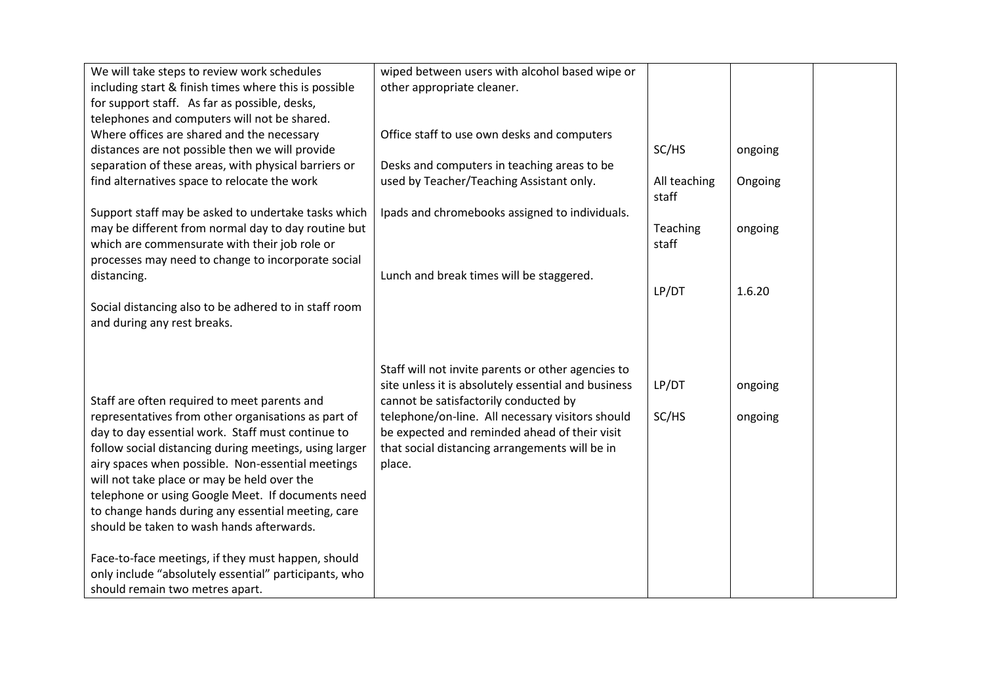| We will take steps to review work schedules            | wiped between users with alcohol based wipe or      |                       |         |  |
|--------------------------------------------------------|-----------------------------------------------------|-----------------------|---------|--|
| including start & finish times where this is possible  | other appropriate cleaner.                          |                       |         |  |
| for support staff. As far as possible, desks,          |                                                     |                       |         |  |
| telephones and computers will not be shared.           |                                                     |                       |         |  |
| Where offices are shared and the necessary             | Office staff to use own desks and computers         |                       |         |  |
| distances are not possible then we will provide        |                                                     | SC/HS                 | ongoing |  |
| separation of these areas, with physical barriers or   | Desks and computers in teaching areas to be         |                       |         |  |
| find alternatives space to relocate the work           | used by Teacher/Teaching Assistant only.            | All teaching<br>staff | Ongoing |  |
| Support staff may be asked to undertake tasks which    | Ipads and chromebooks assigned to individuals.      |                       |         |  |
| may be different from normal day to day routine but    |                                                     | Teaching              | ongoing |  |
| which are commensurate with their job role or          |                                                     | staff                 |         |  |
| processes may need to change to incorporate social     |                                                     |                       |         |  |
| distancing.                                            | Lunch and break times will be staggered.            |                       |         |  |
|                                                        |                                                     | LP/DT                 | 1.6.20  |  |
| Social distancing also to be adhered to in staff room  |                                                     |                       |         |  |
| and during any rest breaks.                            |                                                     |                       |         |  |
|                                                        |                                                     |                       |         |  |
|                                                        |                                                     |                       |         |  |
|                                                        | Staff will not invite parents or other agencies to  |                       |         |  |
|                                                        | site unless it is absolutely essential and business | LP/DT                 | ongoing |  |
| Staff are often required to meet parents and           | cannot be satisfactorily conducted by               |                       |         |  |
| representatives from other organisations as part of    | telephone/on-line. All necessary visitors should    | SC/HS                 | ongoing |  |
| day to day essential work. Staff must continue to      | be expected and reminded ahead of their visit       |                       |         |  |
| follow social distancing during meetings, using larger | that social distancing arrangements will be in      |                       |         |  |
| airy spaces when possible. Non-essential meetings      | place.                                              |                       |         |  |
| will not take place or may be held over the            |                                                     |                       |         |  |
| telephone or using Google Meet. If documents need      |                                                     |                       |         |  |
| to change hands during any essential meeting, care     |                                                     |                       |         |  |
| should be taken to wash hands afterwards.              |                                                     |                       |         |  |
|                                                        |                                                     |                       |         |  |
| Face-to-face meetings, if they must happen, should     |                                                     |                       |         |  |
| only include "absolutely essential" participants, who  |                                                     |                       |         |  |
| should remain two metres apart.                        |                                                     |                       |         |  |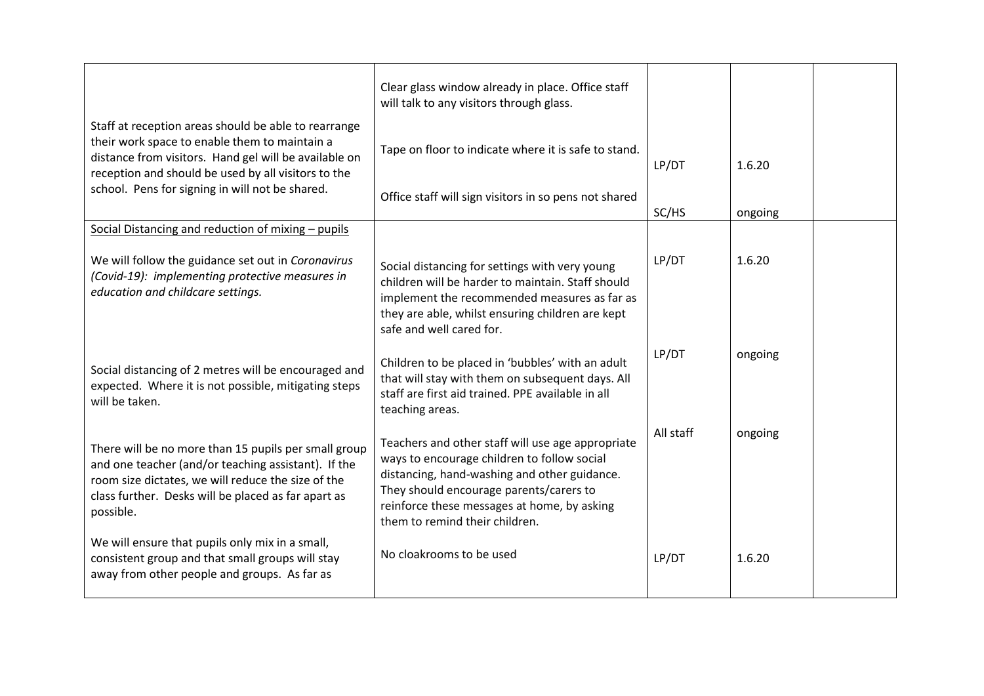| Staff at reception areas should be able to rearrange                                                                                                                                                                                  | Clear glass window already in place. Office staff<br>will talk to any visitors through glass.                                                                                                                                                                                |           |         |  |
|---------------------------------------------------------------------------------------------------------------------------------------------------------------------------------------------------------------------------------------|------------------------------------------------------------------------------------------------------------------------------------------------------------------------------------------------------------------------------------------------------------------------------|-----------|---------|--|
| their work space to enable them to maintain a<br>distance from visitors. Hand gel will be available on<br>reception and should be used by all visitors to the                                                                         | Tape on floor to indicate where it is safe to stand.                                                                                                                                                                                                                         | LP/DT     | 1.6.20  |  |
| school. Pens for signing in will not be shared.                                                                                                                                                                                       | Office staff will sign visitors in so pens not shared                                                                                                                                                                                                                        | SC/HS     | ongoing |  |
| Social Distancing and reduction of mixing - pupils                                                                                                                                                                                    |                                                                                                                                                                                                                                                                              |           |         |  |
| We will follow the guidance set out in Coronavirus<br>(Covid-19): implementing protective measures in<br>education and childcare settings.                                                                                            | Social distancing for settings with very young<br>children will be harder to maintain. Staff should<br>implement the recommended measures as far as<br>they are able, whilst ensuring children are kept<br>safe and well cared for.                                          | LP/DT     | 1.6.20  |  |
| Social distancing of 2 metres will be encouraged and<br>expected. Where it is not possible, mitigating steps<br>will be taken.                                                                                                        | Children to be placed in 'bubbles' with an adult<br>that will stay with them on subsequent days. All<br>staff are first aid trained. PPE available in all<br>teaching areas.                                                                                                 | LP/DT     | ongoing |  |
| There will be no more than 15 pupils per small group<br>and one teacher (and/or teaching assistant). If the<br>room size dictates, we will reduce the size of the<br>class further. Desks will be placed as far apart as<br>possible. | Teachers and other staff will use age appropriate<br>ways to encourage children to follow social<br>distancing, hand-washing and other guidance.<br>They should encourage parents/carers to<br>reinforce these messages at home, by asking<br>them to remind their children. | All staff | ongoing |  |
| We will ensure that pupils only mix in a small,<br>consistent group and that small groups will stay<br>away from other people and groups. As far as                                                                                   | No cloakrooms to be used                                                                                                                                                                                                                                                     | LP/DT     | 1.6.20  |  |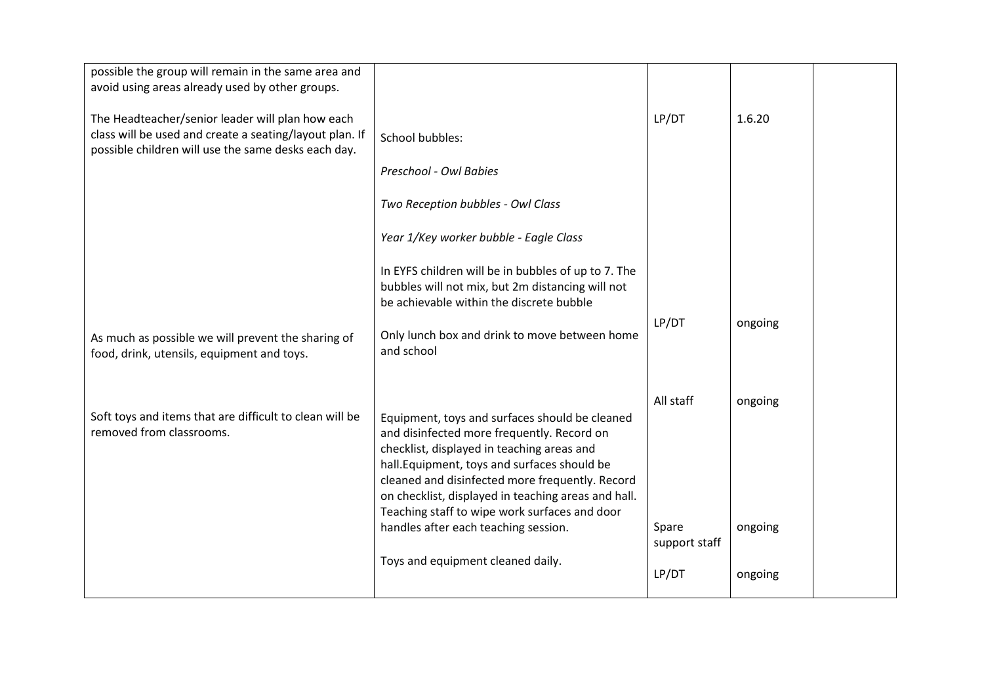| possible the group will remain in the same area and<br>avoid using areas already used by other groups.                                                             |                                                                                                                                                                                                                                                                                                                                                                                               |                                     |                    |  |
|--------------------------------------------------------------------------------------------------------------------------------------------------------------------|-----------------------------------------------------------------------------------------------------------------------------------------------------------------------------------------------------------------------------------------------------------------------------------------------------------------------------------------------------------------------------------------------|-------------------------------------|--------------------|--|
| The Headteacher/senior leader will plan how each<br>class will be used and create a seating/layout plan. If<br>possible children will use the same desks each day. | School bubbles:                                                                                                                                                                                                                                                                                                                                                                               | LP/DT                               | 1.6.20             |  |
|                                                                                                                                                                    | Preschool - Owl Babies                                                                                                                                                                                                                                                                                                                                                                        |                                     |                    |  |
|                                                                                                                                                                    | Two Reception bubbles - Owl Class                                                                                                                                                                                                                                                                                                                                                             |                                     |                    |  |
|                                                                                                                                                                    | Year 1/Key worker bubble - Eagle Class                                                                                                                                                                                                                                                                                                                                                        |                                     |                    |  |
|                                                                                                                                                                    | In EYFS children will be in bubbles of up to 7. The<br>bubbles will not mix, but 2m distancing will not<br>be achievable within the discrete bubble                                                                                                                                                                                                                                           |                                     |                    |  |
| As much as possible we will prevent the sharing of<br>food, drink, utensils, equipment and toys.                                                                   | Only lunch box and drink to move between home<br>and school                                                                                                                                                                                                                                                                                                                                   | LP/DT                               | ongoing            |  |
| Soft toys and items that are difficult to clean will be<br>removed from classrooms.                                                                                | Equipment, toys and surfaces should be cleaned<br>and disinfected more frequently. Record on<br>checklist, displayed in teaching areas and<br>hall. Equipment, toys and surfaces should be<br>cleaned and disinfected more frequently. Record<br>on checklist, displayed in teaching areas and hall.<br>Teaching staff to wipe work surfaces and door<br>handles after each teaching session. | All staff<br>Spare<br>support staff | ongoing<br>ongoing |  |
|                                                                                                                                                                    | Toys and equipment cleaned daily.                                                                                                                                                                                                                                                                                                                                                             | LP/DT                               | ongoing            |  |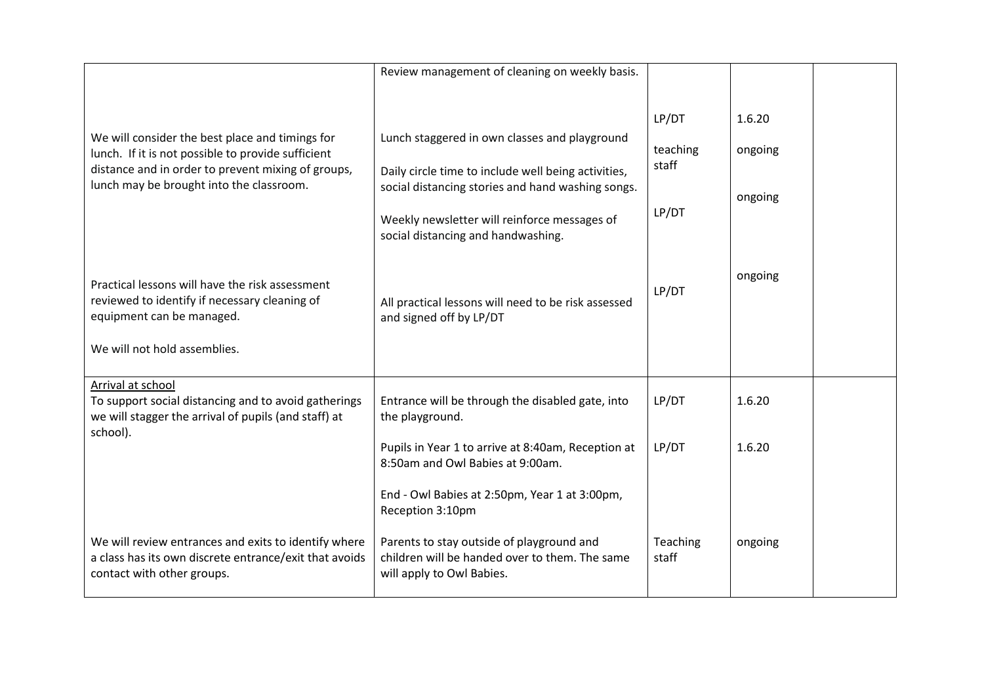|                                                                                                                                                                                                         | Review management of cleaning on weekly basis.                                                                                                                                                                                                  |                                     |                              |  |
|---------------------------------------------------------------------------------------------------------------------------------------------------------------------------------------------------------|-------------------------------------------------------------------------------------------------------------------------------------------------------------------------------------------------------------------------------------------------|-------------------------------------|------------------------------|--|
| We will consider the best place and timings for<br>lunch. If it is not possible to provide sufficient<br>distance and in order to prevent mixing of groups,<br>lunch may be brought into the classroom. | Lunch staggered in own classes and playground<br>Daily circle time to include well being activities,<br>social distancing stories and hand washing songs.<br>Weekly newsletter will reinforce messages of<br>social distancing and handwashing. | LP/DT<br>teaching<br>staff<br>LP/DT | 1.6.20<br>ongoing<br>ongoing |  |
| Practical lessons will have the risk assessment<br>reviewed to identify if necessary cleaning of<br>equipment can be managed.<br>We will not hold assemblies.                                           | All practical lessons will need to be risk assessed<br>and signed off by LP/DT                                                                                                                                                                  | LP/DT                               | ongoing                      |  |
| Arrival at school<br>To support social distancing and to avoid gatherings<br>we will stagger the arrival of pupils (and staff) at<br>school).                                                           | Entrance will be through the disabled gate, into<br>the playground.                                                                                                                                                                             | LP/DT                               | 1.6.20                       |  |
|                                                                                                                                                                                                         | Pupils in Year 1 to arrive at 8:40am, Reception at<br>8:50am and Owl Babies at 9:00am.                                                                                                                                                          | LP/DT                               | 1.6.20                       |  |
|                                                                                                                                                                                                         | End - Owl Babies at 2:50pm, Year 1 at 3:00pm,<br>Reception 3:10pm                                                                                                                                                                               |                                     |                              |  |
| We will review entrances and exits to identify where<br>a class has its own discrete entrance/exit that avoids<br>contact with other groups.                                                            | Parents to stay outside of playground and<br>children will be handed over to them. The same<br>will apply to Owl Babies.                                                                                                                        | Teaching<br>staff                   | ongoing                      |  |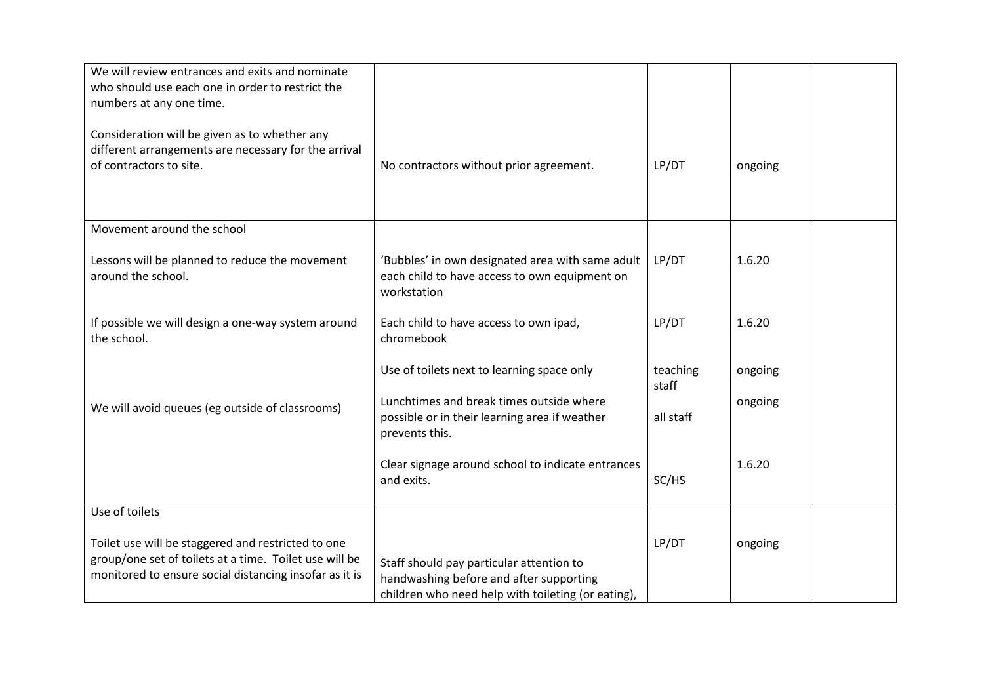| We will review entrances and exits and nominate<br>who should use each one in order to restrict the<br>numbers at any one time.                                        |                                                                                                                                           |                   |         |  |
|------------------------------------------------------------------------------------------------------------------------------------------------------------------------|-------------------------------------------------------------------------------------------------------------------------------------------|-------------------|---------|--|
| Consideration will be given as to whether any<br>different arrangements are necessary for the arrival<br>of contractors to site.                                       | No contractors without prior agreement.                                                                                                   | LP/DT             | ongoing |  |
| Movement around the school                                                                                                                                             |                                                                                                                                           |                   |         |  |
| Lessons will be planned to reduce the movement<br>around the school.                                                                                                   | 'Bubbles' in own designated area with same adult<br>each child to have access to own equipment on<br>workstation                          | LP/DT             | 1.6.20  |  |
| If possible we will design a one-way system around<br>the school.                                                                                                      | Each child to have access to own ipad,<br>chromebook                                                                                      | LP/DT             | 1.6.20  |  |
|                                                                                                                                                                        | Use of toilets next to learning space only                                                                                                | teaching<br>staff | ongoing |  |
| We will avoid queues (eg outside of classrooms)                                                                                                                        | Lunchtimes and break times outside where<br>possible or in their learning area if weather<br>prevents this.                               | all staff         | ongoing |  |
|                                                                                                                                                                        | Clear signage around school to indicate entrances<br>and exits.                                                                           | SC/HS             | 1.6.20  |  |
| Use of toilets                                                                                                                                                         |                                                                                                                                           |                   |         |  |
| Toilet use will be staggered and restricted to one<br>group/one set of toilets at a time. Toilet use will be<br>monitored to ensure social distancing insofar as it is | Staff should pay particular attention to<br>handwashing before and after supporting<br>children who need help with toileting (or eating), | LP/DT             | ongoing |  |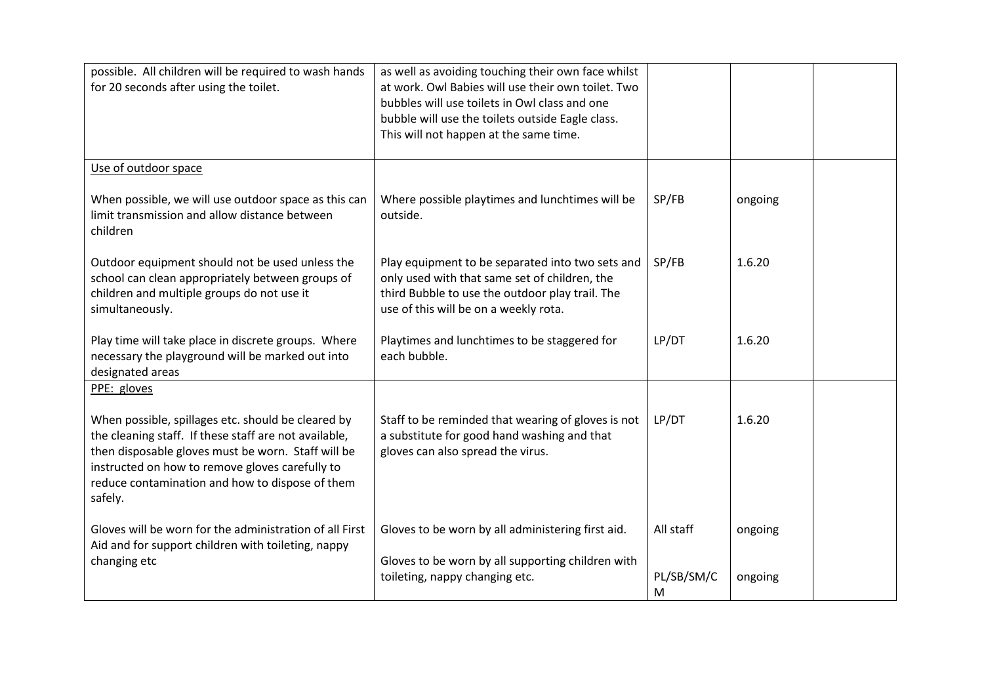| possible. All children will be required to wash hands<br>for 20 seconds after using the toilet.                                                                                                                                                                                    | as well as avoiding touching their own face whilst<br>at work. Owl Babies will use their own toilet. Two<br>bubbles will use toilets in Owl class and one<br>bubble will use the toilets outside Eagle class.<br>This will not happen at the same time. |                 |         |  |
|------------------------------------------------------------------------------------------------------------------------------------------------------------------------------------------------------------------------------------------------------------------------------------|---------------------------------------------------------------------------------------------------------------------------------------------------------------------------------------------------------------------------------------------------------|-----------------|---------|--|
| Use of outdoor space                                                                                                                                                                                                                                                               |                                                                                                                                                                                                                                                         |                 |         |  |
| When possible, we will use outdoor space as this can<br>limit transmission and allow distance between<br>children                                                                                                                                                                  | Where possible playtimes and lunchtimes will be<br>outside.                                                                                                                                                                                             | SP/FB           | ongoing |  |
| Outdoor equipment should not be used unless the<br>school can clean appropriately between groups of<br>children and multiple groups do not use it<br>simultaneously.                                                                                                               | Play equipment to be separated into two sets and<br>only used with that same set of children, the<br>third Bubble to use the outdoor play trail. The<br>use of this will be on a weekly rota.                                                           | SP/FB           | 1.6.20  |  |
| Play time will take place in discrete groups. Where<br>necessary the playground will be marked out into<br>designated areas                                                                                                                                                        | Playtimes and lunchtimes to be staggered for<br>each bubble.                                                                                                                                                                                            | LP/DT           | 1.6.20  |  |
| PPE: gloves                                                                                                                                                                                                                                                                        |                                                                                                                                                                                                                                                         |                 |         |  |
| When possible, spillages etc. should be cleared by<br>the cleaning staff. If these staff are not available,<br>then disposable gloves must be worn. Staff will be<br>instructed on how to remove gloves carefully to<br>reduce contamination and how to dispose of them<br>safely. | Staff to be reminded that wearing of gloves is not<br>a substitute for good hand washing and that<br>gloves can also spread the virus.                                                                                                                  | LP/DT           | 1.6.20  |  |
| Gloves will be worn for the administration of all First<br>Aid and for support children with toileting, nappy                                                                                                                                                                      | Gloves to be worn by all administering first aid.                                                                                                                                                                                                       | All staff       | ongoing |  |
| changing etc                                                                                                                                                                                                                                                                       | Gloves to be worn by all supporting children with<br>toileting, nappy changing etc.                                                                                                                                                                     | PL/SB/SM/C<br>M | ongoing |  |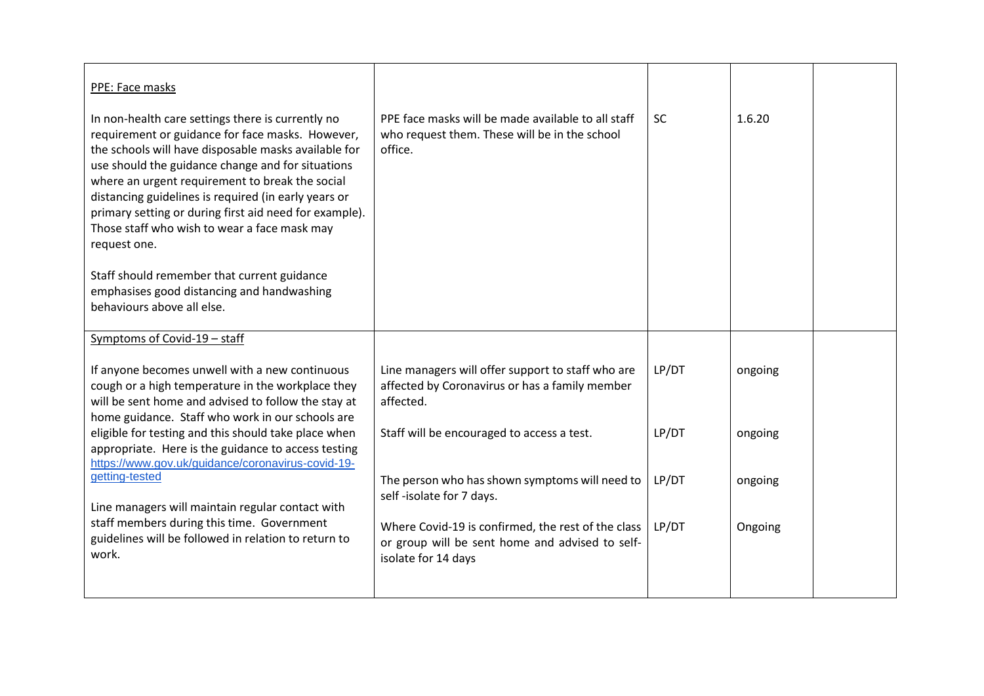| PPE: Face masks                                                                                                                                                                                                                                                                                                                                                                                                                                                                                                                                                                    |                                                                                                                              |           |         |  |
|------------------------------------------------------------------------------------------------------------------------------------------------------------------------------------------------------------------------------------------------------------------------------------------------------------------------------------------------------------------------------------------------------------------------------------------------------------------------------------------------------------------------------------------------------------------------------------|------------------------------------------------------------------------------------------------------------------------------|-----------|---------|--|
| In non-health care settings there is currently no<br>requirement or guidance for face masks. However,<br>the schools will have disposable masks available for<br>use should the guidance change and for situations<br>where an urgent requirement to break the social<br>distancing guidelines is required (in early years or<br>primary setting or during first aid need for example).<br>Those staff who wish to wear a face mask may<br>request one.<br>Staff should remember that current guidance<br>emphasises good distancing and handwashing<br>behaviours above all else. | PPE face masks will be made available to all staff<br>who request them. These will be in the school<br>office.               | <b>SC</b> | 1.6.20  |  |
| Symptoms of Covid-19 - staff                                                                                                                                                                                                                                                                                                                                                                                                                                                                                                                                                       |                                                                                                                              |           |         |  |
| If anyone becomes unwell with a new continuous<br>cough or a high temperature in the workplace they<br>will be sent home and advised to follow the stay at<br>home guidance. Staff who work in our schools are                                                                                                                                                                                                                                                                                                                                                                     | Line managers will offer support to staff who are<br>affected by Coronavirus or has a family member<br>affected.             | LP/DT     | ongoing |  |
| eligible for testing and this should take place when<br>appropriate. Here is the guidance to access testing<br>https://www.gov.uk/guidance/coronavirus-covid-19-                                                                                                                                                                                                                                                                                                                                                                                                                   | Staff will be encouraged to access a test.                                                                                   | LP/DT     | ongoing |  |
| getting-tested<br>Line managers will maintain regular contact with                                                                                                                                                                                                                                                                                                                                                                                                                                                                                                                 | The person who has shown symptoms will need to<br>self-isolate for 7 days.                                                   | LP/DT     | ongoing |  |
| staff members during this time. Government<br>guidelines will be followed in relation to return to<br>work.                                                                                                                                                                                                                                                                                                                                                                                                                                                                        | Where Covid-19 is confirmed, the rest of the class<br>or group will be sent home and advised to self-<br>isolate for 14 days | LP/DT     | Ongoing |  |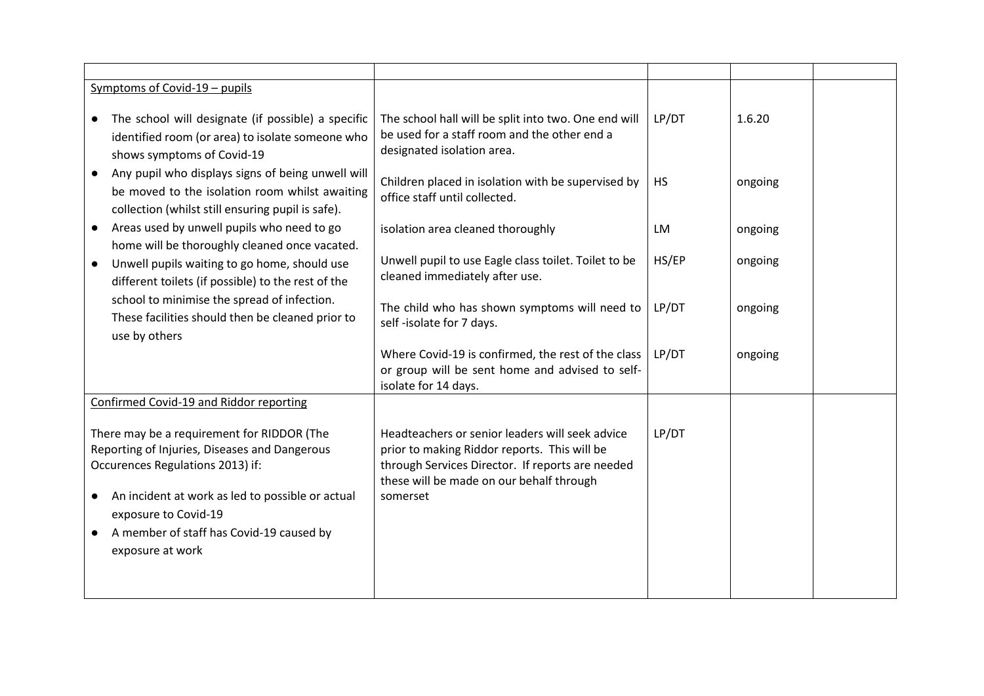| The school hall will be split into two. One end will<br>be used for a staff room and the other end a<br>designated isolation area.                                                                            | LP/DT                | 1.6.20  |  |
|---------------------------------------------------------------------------------------------------------------------------------------------------------------------------------------------------------------|----------------------|---------|--|
| Children placed in isolation with be supervised by<br>office staff until collected.                                                                                                                           | <b>HS</b>            | ongoing |  |
| isolation area cleaned thoroughly                                                                                                                                                                             | LM                   | ongoing |  |
| Unwell pupil to use Eagle class toilet. Toilet to be<br>cleaned immediately after use.                                                                                                                        | HS/EP                | ongoing |  |
| The child who has shown symptoms will need to<br>self-isolate for 7 days.                                                                                                                                     | LP/DT                | ongoing |  |
| Where Covid-19 is confirmed, the rest of the class<br>or group will be sent home and advised to self-                                                                                                         | LP/DT                | ongoing |  |
|                                                                                                                                                                                                               |                      |         |  |
| Headteachers or senior leaders will seek advice<br>prior to making Riddor reports. This will be<br>through Services Director. If reports are needed<br>these will be made on our behalf through<br>somerset   | LP/DT                |         |  |
| The school will designate (if possible) a specific<br>identified room (or area) to isolate someone who<br>Any pupil who displays signs of being unwell will<br>be moved to the isolation room whilst awaiting | isolate for 14 days. |         |  |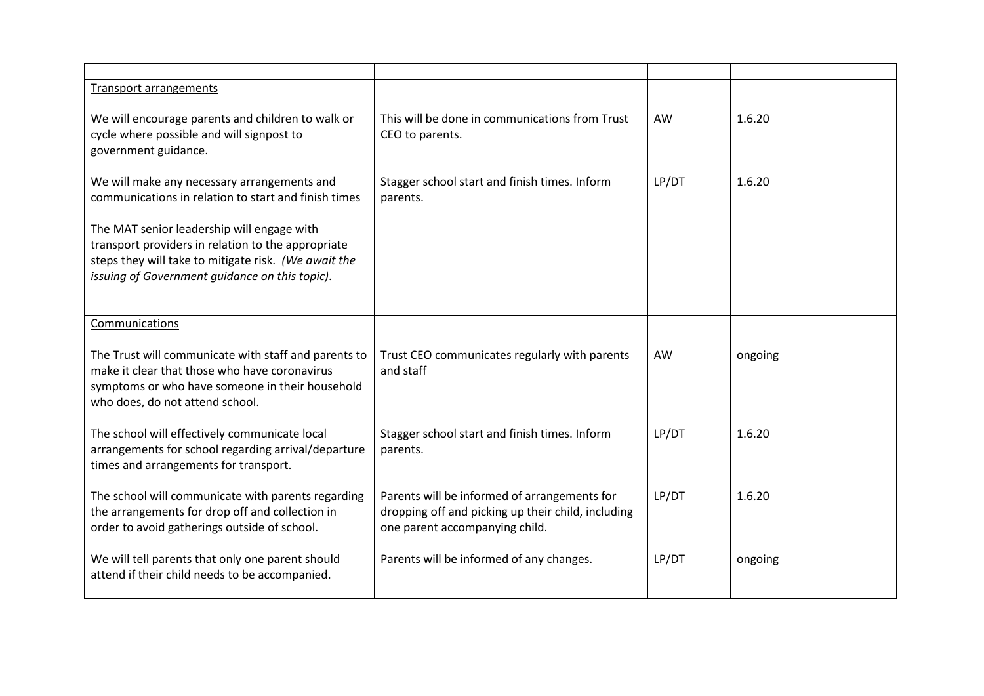| Transport arrangements                                                                                                                                                                                     |                                                                                                                                      |           |         |  |
|------------------------------------------------------------------------------------------------------------------------------------------------------------------------------------------------------------|--------------------------------------------------------------------------------------------------------------------------------------|-----------|---------|--|
| We will encourage parents and children to walk or<br>cycle where possible and will signpost to<br>government guidance.                                                                                     | This will be done in communications from Trust<br>CEO to parents.                                                                    | AW        | 1.6.20  |  |
| We will make any necessary arrangements and<br>communications in relation to start and finish times                                                                                                        | Stagger school start and finish times. Inform<br>parents.                                                                            | LP/DT     | 1.6.20  |  |
| The MAT senior leadership will engage with<br>transport providers in relation to the appropriate<br>steps they will take to mitigate risk. (We await the<br>issuing of Government guidance on this topic). |                                                                                                                                      |           |         |  |
| Communications                                                                                                                                                                                             |                                                                                                                                      |           |         |  |
| The Trust will communicate with staff and parents to<br>make it clear that those who have coronavirus<br>symptoms or who have someone in their household<br>who does, do not attend school.                | Trust CEO communicates regularly with parents<br>and staff                                                                           | <b>AW</b> | ongoing |  |
| The school will effectively communicate local<br>arrangements for school regarding arrival/departure<br>times and arrangements for transport.                                                              | Stagger school start and finish times. Inform<br>parents.                                                                            | LP/DT     | 1.6.20  |  |
| The school will communicate with parents regarding<br>the arrangements for drop off and collection in<br>order to avoid gatherings outside of school.                                                      | Parents will be informed of arrangements for<br>dropping off and picking up their child, including<br>one parent accompanying child. | LP/DT     | 1.6.20  |  |
| We will tell parents that only one parent should<br>attend if their child needs to be accompanied.                                                                                                         | Parents will be informed of any changes.                                                                                             | LP/DT     | ongoing |  |